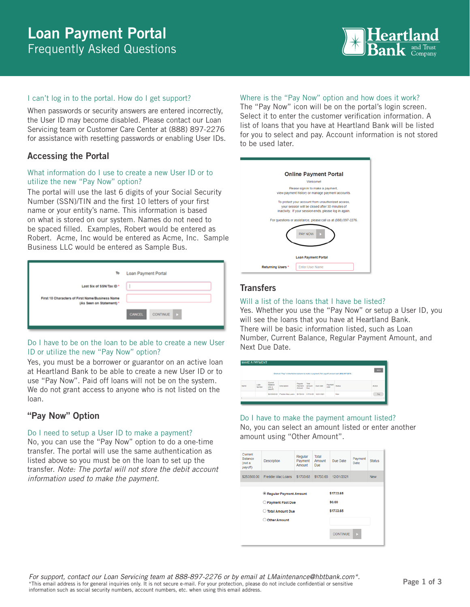# Loan Payment Portal Frequently Asked Questions



### I can't log in to the portal. How do I get support?

When passwords or security answers are entered incorrectly, the User ID may become disabled. Please contact our Loan Servicing team or Customer Care Center at (888) 897-2276 for assistance with resetting passwords or enabling User IDs.

# Accessing the Portal

## What information do I use to create a new User ID or to utilize the new "Pay Now" option?

The portal will use the last 6 digits of your Social Security Number (SSN)/TIN and the first 10 letters of your first name or your entity's name. This information is based on what is stored on our system. Names do not need to be spaced filled. Examples, Robert would be entered as Robert. Acme, Inc would be entered as Acme, Inc. Sample Business LLC would be entered as Sample Bus.

| To                                                                          | Loan Payment Portal       |
|-----------------------------------------------------------------------------|---------------------------|
| Last Six of SSN/Tax ID *                                                    |                           |
| First 10 Characters of First Name/Business Name<br>(As Seen on Statement) * |                           |
|                                                                             | CONTINUE<br><b>CANCEL</b> |

### Do I have to be on the loan to be able to create a new User ID or utilize the new "Pay Now" option?

Yes, you must be a borrower or guarantor on an active loan at Heartland Bank to be able to create a new User ID or to use "Pay Now". Paid off loans will not be on the system. We do not grant access to anyone who is not listed on the loan.

# "Pay Now" Option

### Do I need to setup a User ID to make a payment?

No, you can use the "Pay Now" option to do a one-time transfer. The portal will use the same authentication as listed above so you must be on the loan to set up the transfer. *Note: The portal will not store the debit account information used to make the payment.* 

### Where is the "Pay Now" option and how does it work?

The "Pay Now" icon will be on the portal's login screen. Select it to enter the customer verification information. A list of loans that you have at Heartland Bank will be listed for you to select and pay. Account information is not stored to be used later.

|                                                                                                                | <b>Online Payment Portal</b>                                                                                                                                   |
|----------------------------------------------------------------------------------------------------------------|----------------------------------------------------------------------------------------------------------------------------------------------------------------|
|                                                                                                                | Welcomet                                                                                                                                                       |
|                                                                                                                | Please sign in to make a payment.<br>view payment history or manage payment accounts.                                                                          |
|                                                                                                                | To protect your account from unauthorized access,<br>your session will be closed after 30 minutes of<br>inactivity. If your session ends, please log in again. |
| For questions or assistance, please call us at (888) 897-2276.<br><b>PAY NOW</b><br><b>Loan Payment Portal</b> |                                                                                                                                                                |
| Returning Users *                                                                                              | <b>Enter User Name</b>                                                                                                                                         |

# **Transfers**

## Will a list of the loans that I have be listed?

Yes. Whether you use the "Pay Now" or setup a User ID, you will see the loans that you have at Heartland Bank. There will be basic information listed, such as Loan Number, Current Balance, Regular Payment Amount, and Next Due Date.

|      | <b>MAKE A PAYMENT</b> |                                                |                                                  |                              |                               |          |                 |                                                                                               |             |
|------|-----------------------|------------------------------------------------|--------------------------------------------------|------------------------------|-------------------------------|----------|-----------------|-----------------------------------------------------------------------------------------------|-------------|
|      |                       |                                                |                                                  |                              |                               |          |                 | Click on "Pay" in the Action column to make a payment. For payoff amount call (888) 897-2276. | <b>BACK</b> |
| Name | Loan<br>Number        | Current<br><b>Ballance</b><br>(not a<br>payof) | Description                                      | Require<br>Payment<br>Amount | Total<br><b>Amount</b><br>Due | Due Date | Payment<br>Date | Status                                                                                        | Action      |
|      |                       | \$253500.00                                    | Freddie Mac Loans \$1733.65 \$1733.65 12/01/2021 |                              |                               |          |                 | New                                                                                           | Pay         |

## Do I have to make the payment amount listed?

No, you can select an amount listed or enter another amount using "Other Amount".

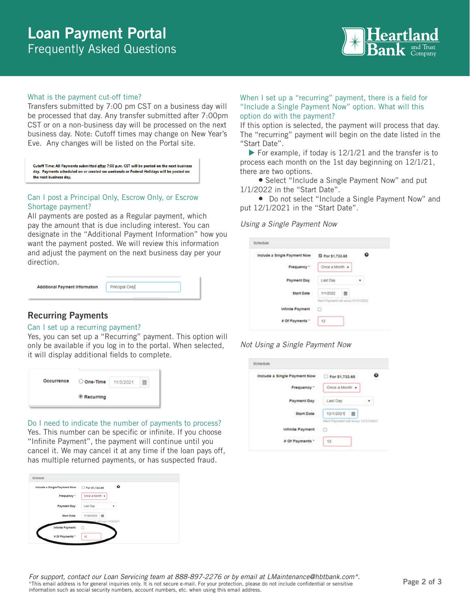# Loan Payment Portal Frequently Asked Questions



### What is the payment cut-off time?

Transfers submitted by 7:00 pm CST on a business day will be processed that day. Any transfer submitted after 7:00pm CST or on a non-business day will be processed on the next business day. Note: Cutoff times may change on New Year's Eve. Any changes will be listed on the Portal site.

Cutoff Time: All Payments submitted after 7:00 p.m. CST will be posted on the next business day. Payments scheduled on or created on weekends or Federal Holidays will be posted on the next business day.

### Can I post a Principal Only, Escrow Only, or Escrow Shortage payment?

All payments are posted as a Regular payment, which pay the amount that is due including interest. You can designate in the "Additional Payment Information" how you want the payment posted. We will review this information and adjust the payment on the next business day per your direction.

| Principal Only<br><b>Additional Payment Information</b> |
|---------------------------------------------------------|
|---------------------------------------------------------|

### When I set up a "recurring" payment, there is a field for "Include a Single Payment Now" option. What will this option do with the payment?

If this option is selected, the payment will process that day. The "recurring" payment will begin on the date listed in the "Start Date".

 $\blacktriangleright$  For example, if today is 12/1/21 and the transfer is to process each month on the 1st day beginning on 12/1/21, there are two options.

 Select "Include a Single Payment Now" and put 1/1/2022 in the "Start Date".

• Do not select "Include a Single Payment Now" and put 12/1/2021 in the "Start Date".

#### *Using a Single Payment Now*

| Include a Single Payment Now | El For \$1,733.65                  | $\bullet$<br>z. |
|------------------------------|------------------------------------|-----------------|
| Frequency *                  | Once a Month »                     |                 |
| <b>Payment Day</b>           | Last Day                           |                 |
| <b>Start Date</b>            | 1/1/2022<br>m                      |                 |
|                              | Next Payment will occur 01/31/2022 |                 |
| <b>Infinite Payment</b>      | п                                  |                 |
| Of Payments *                | $12^{12}$                          |                 |

### *Not Using a Single Payment Now*

| <b>Recurring Payments</b> |  |
|---------------------------|--|
|                           |  |

### Can I set up a recurring payment?

Yes, you can set up a "Recurring" payment. This option will only be available if you log in to the portal. When selected, it will display additional fields to complete.

Do I need to indicate the number of payments to process? Yes. This number can be specific or infinite. If you choose "Infinite Payment", the payment will continue until you cancel it. We may cancel it at any time if the loan pays off, has multiple returned payments, or has suspected fraud.

| Include a Single Payment Now | For \$1,733.65                    |   |
|------------------------------|-----------------------------------|---|
| Frequency *                  | Once a Month .                    |   |
| Payment Day                  | Last Day                          | ¥ |
| <b>Start Date</b>            | 11/30/2021<br>в                   |   |
| <b>Infinite Payment</b>      | memori will occur 11/30/2021<br>п |   |
| # Of Payments *              | 12                                |   |

| Include a Single Payment Now |                                    |  |
|------------------------------|------------------------------------|--|
|                              | Por \$1,733.65                     |  |
| Frequency*                   | Once a Month +                     |  |
| Payment Day                  | Last Day                           |  |
| <b>Start Date</b>            | 12/1/2021<br>面                     |  |
|                              | Next Payment will occur 12/31/2021 |  |
| Infinite Payment             |                                    |  |
| # Of Payments *              | 12                                 |  |